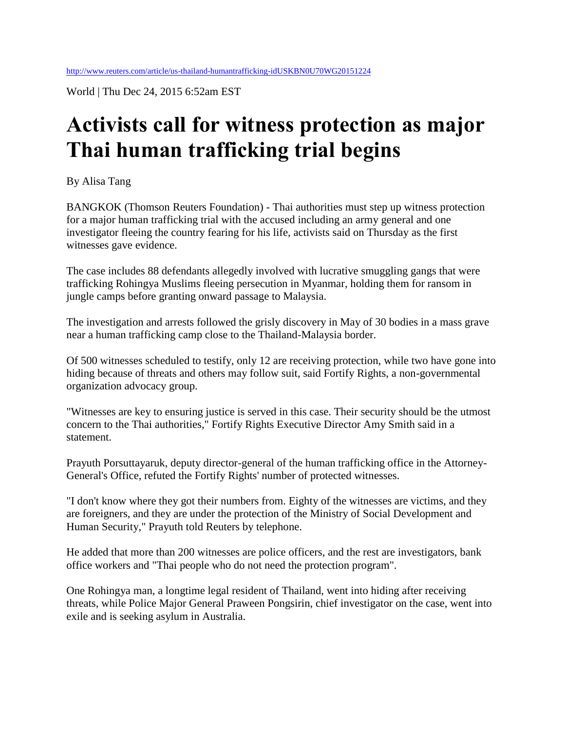World | Thu Dec 24, 2015 6:52am EST

## **Activists call for witness protection as major Thai human trafficking trial begins**

By Alisa Tang

BANGKOK (Thomson Reuters Foundation) - Thai authorities must step up witness protection for a major human trafficking trial with the accused including an army general and one investigator fleeing the country fearing for his life, activists said on Thursday as the first witnesses gave evidence.

The case includes 88 defendants allegedly involved with lucrative smuggling gangs that were trafficking Rohingya Muslims fleeing persecution in Myanmar, holding them for ransom in jungle camps before granting onward passage to Malaysia.

The investigation and arrests followed the grisly discovery in May of 30 bodies in a mass grave near a human trafficking camp close to the Thailand-Malaysia border.

Of 500 witnesses scheduled to testify, only 12 are receiving protection, while two have gone into hiding because of threats and others may follow suit, said Fortify Rights, a non-governmental organization advocacy group.

"Witnesses are key to ensuring justice is served in this case. Their security should be the utmost concern to the Thai authorities," Fortify Rights Executive Director Amy Smith said in a statement.

Prayuth Porsuttayaruk, deputy director-general of the human trafficking office in the Attorney-General's Office, refuted the Fortify Rights' number of protected witnesses.

"I don't know where they got their numbers from. Eighty of the witnesses are victims, and they are foreigners, and they are under the protection of the Ministry of Social Development and Human Security," Prayuth told Reuters by telephone.

He added that more than 200 witnesses are police officers, and the rest are investigators, bank office workers and "Thai people who do not need the protection program".

One Rohingya man, a longtime legal resident of Thailand, went into hiding after receiving threats, while Police Major General Praween Pongsirin, chief investigator on the case, went into exile and is seeking asylum in Australia.